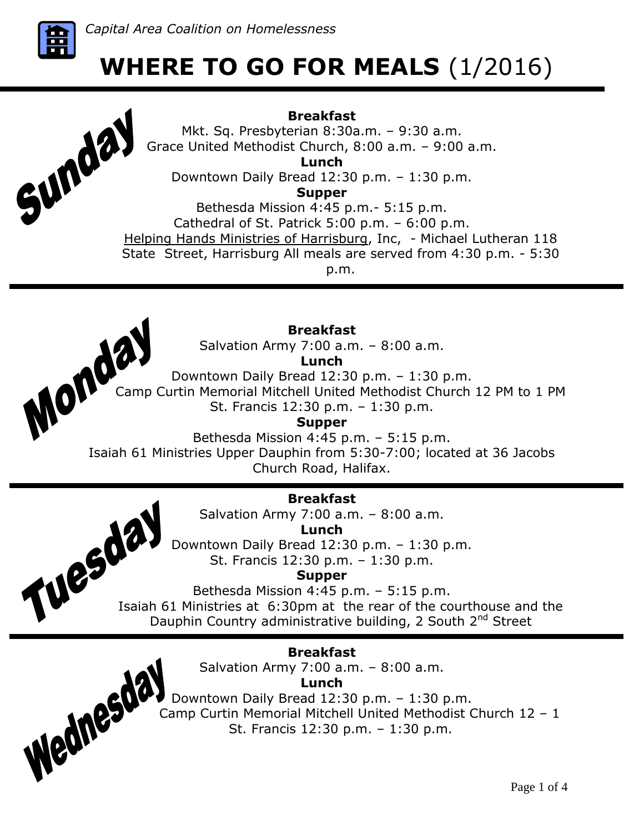

Sunda

# **WHERE TO GO FOR MEALS** (1/2016)

# **Breakfast**

Mkt. Sq. Presbyterian 8:30a.m. – 9:30 a.m. Grace United Methodist Church, 8:00 a.m. – 9:00 a.m. **Lunch** Downtown Daily Bread 12:30 p.m. – 1:30 p.m.

**Supper**

Bethesda Mission 4:45 p.m.- 5:15 p.m. Cathedral of St. Patrick 5:00 p.m. – 6:00 p.m. Helping Hands Ministries of Harrisburg, Inc, - Michael Lutheran 118 State Street, Harrisburg All meals are served from 4:30 p.m. - 5:30 p.m.



Wednesda

# **Breakfast**

Salvation Army 7:00 a.m. – 8:00 a.m.

**Lunch**

Downtown Daily Bread 12:30 p.m. – 1:30 p.m.

Lunch<br>
Camp Curtin Memorial Mitchell United Methodist Church 12 PM to 1 PM<br>
St. Francis 12:30 p.m. – 1:30 p.m.<br>
The St. Francis 12:30 p.m. – 1:30 p.m.<br>
St. Francis 12:30 p.m. – 1:30 p.m. St. Francis 12:30 p.m. – 1:30 p.m.

**Supper**

Bethesda Mission 4:45 p.m. – 5:15 p.m. Isaiah 61 Ministries Upper Dauphin from 5:30-7:00; located at 36 Jacobs

Church Road, Halifax.

# **Breakfast**

Salvation Army 7:00 a.m. – 8:00 a.m.

**Lunch**

Downtown Daily Bread 12:30 p.m. – 1:30 p.m. St. Francis 12:30 p.m. – 1:30 p.m.

**Supper**

Bethesda Mission 4:45 p.m. – 5:15 p.m.  $\begin{array}{r}\n\text{S.} \text{L.} \text{C.} \text{C.} \text{C.} \text{C.} \text{C.} \text{C.} \text{C.} \text{C.} \text{C.} \text{C.} \text{C.} \text{C.} \text{C.} \text{C.} \text{C.} \text{C.} \text{C.} \text{C.} \text{C.} \text{C.} \text{C.} \text{C.} \text{C.} \text{C.} \text{D.} \text{D.} \text{D.} \text{D.} \text{D.} \text{D.} \text{D.} \text{D.} \text{D.} \text$ Dauphin Country administrative building, 2 South 2<sup>nd</sup> Street

# **Breakfast**

Salvation Army 7:00 a.m. – 8:00 a.m.

**Lunch**

Downtown Daily Bread 12:30 p.m. – 1:30 p.m. Camp Curtin Memorial Mitchell United Methodist Church 12 – 1 St. Francis 12:30 p.m. – 1:30 p.m.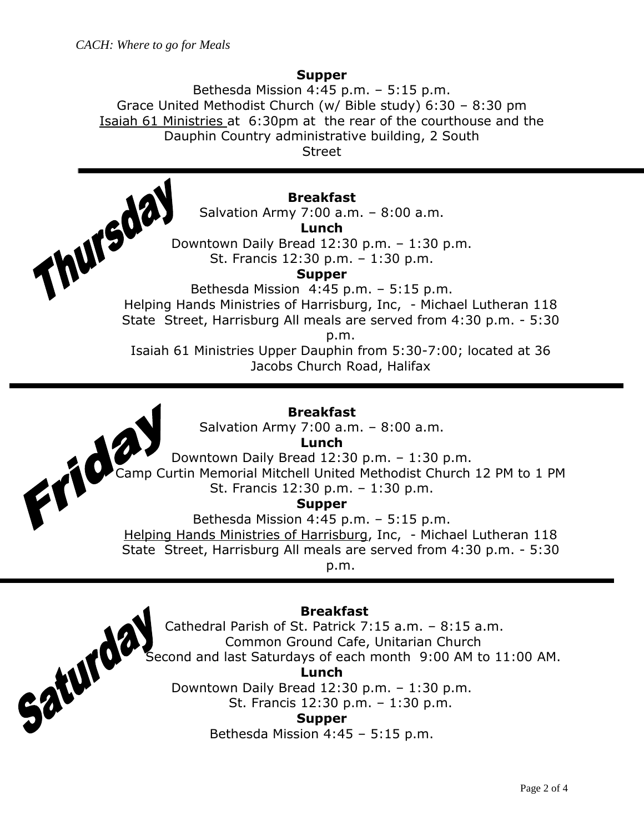Saturda

### **Supper**

Bethesda Mission 4:45 p.m. – 5:15 p.m. Grace United Methodist Church (w/ Bible study) 6:30 – 8:30 pm Isaiah 61 Ministries at 6:30pm at the rear of the courthouse and the Dauphin Country administrative building, 2 South

Street

### **Breakfast**

Salvation Army 7:00 a.m. – 8:00 a.m.

**Lunch**

Downtown Daily Bread 12:30 p.m. – 1:30 p.m. St. Francis 12:30 p.m. – 1:30 p.m. Lunch<br>
Lunch<br>
Downtown Daily Bread 12:30 p.m. – 1:30 p.m.<br>
St. Francis 12:30 p.m. – 1:30 p.m.<br>
Supper<br>
Bethesda Mission 4:45 p.m. – 5:15 p.m.<br>
Helping Hands Ministries of Harrisburg, Inc, - Michael Lutheran 118

**Supper**

Bethesda Mission 4:45 p.m. – 5:15 p.m.

State Street, Harrisburg All meals are served from 4:30 p.m. - 5:30

p.m.

Isaiah 61 Ministries Upper Dauphin from 5:30-7:00; located at 36 Jacobs Church Road, Halifax

### **Breakfast**

Salvation Army 7:00 a.m. – 8:00 a.m.

**Lunch**

Downtown Daily Bread 12:30 p.m. – 1:30 p.m. Camp Curtin Memorial Mitchell United Methodist Church 12 PM to 1 PM St. Francis 12:30 p.m. – 1:30 p.m.

### **Supper**

Bethesda Mission 4:45 p.m. – 5:15 p.m. Helping Hands Ministries of Harrisburg, Inc, - Michael Lutheran 118 State Street, Harrisburg All meals are served from 4:30 p.m. - 5:30 p.m.

### **Breakfast**

Cathedral Parish of St. Patrick 7:15 a.m. – 8:15 a.m. Common Ground Cafe, Unitarian Church Second and last Saturdays of each month 9:00 AM to 11:00 AM. **Lunch**

Downtown Daily Bread 12:30 p.m. – 1:30 p.m. St. Francis 12:30 p.m. – 1:30 p.m.

### **Supper**

Bethesda Mission 4:45 – 5:15 p.m.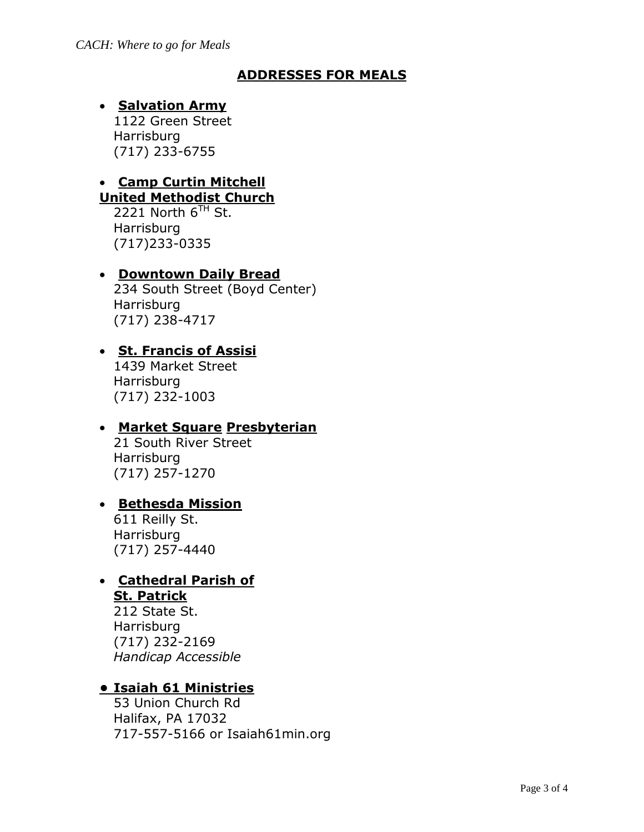### **ADDRESSES FOR MEALS**

# **• Salvation Army**

1122 Green Street Harrisburg (717) 233-6755

# **Camp Curtin Mitchell**

**United Methodist Church**

2221 North  $6^{TH}$  St. **Harrisburg** (717)233-0335

### **Downtown Daily Bread**

234 South Street (Boyd Center) Harrisburg (717) 238-4717

# **St. Francis of Assisi**

1439 Market Street Harrisburg (717) 232-1003

### **Market Square Presbyterian**

21 South River Street **Harrisburg** (717) 257-1270

### **Bethesda Mission**

611 Reilly St. **Harrisburg** (717) 257-4440

#### **Cathedral Parish of St. Patrick**

212 State St. Harrisburg (717) 232-2169 *Handicap Accessible* 

# **• Isaiah 61 Ministries**

53 Union Church Rd Halifax, PA 17032 717-557-5166 or Isaiah61min.org